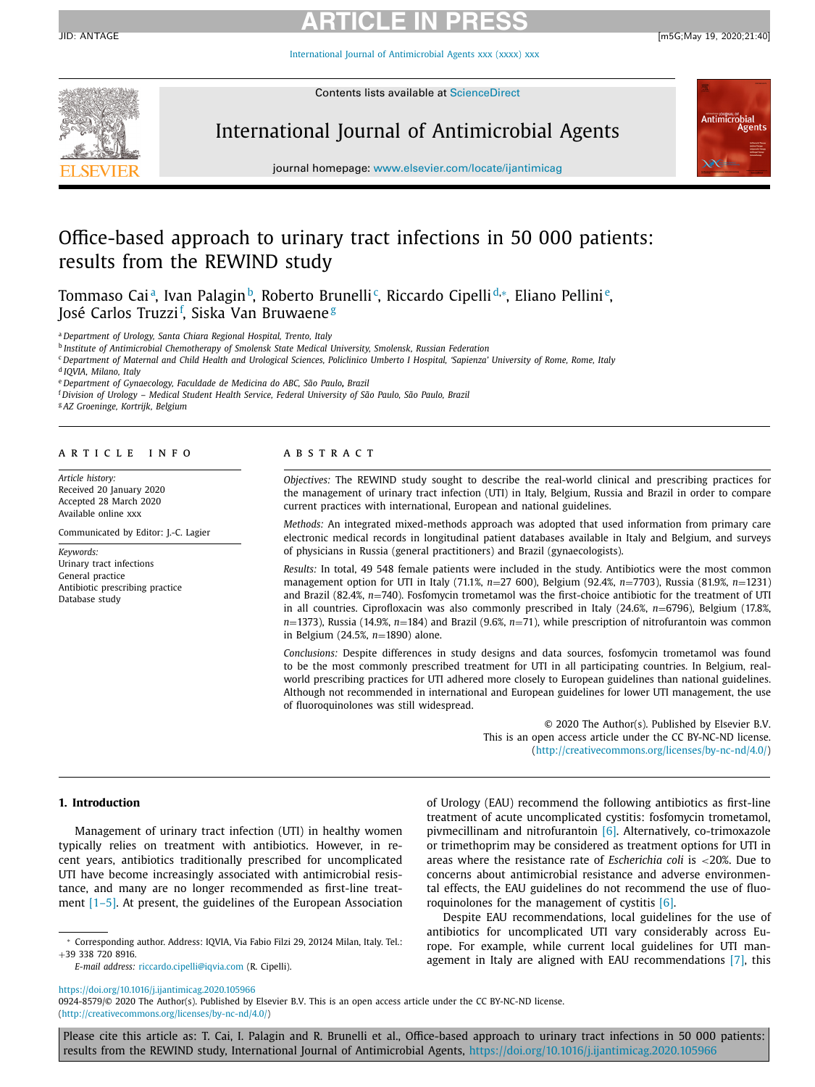International Journal of [Antimicrobial](https://doi.org/10.1016/j.ijantimicag.2020.105966) Agents xxx (xxxx) xxx



Contents lists available at [ScienceDirect](http://www.ScienceDirect.com)

# International Journal of Antimicrobial Agents



journal homepage: [www.elsevier.com/locate/ijantimicag](http://www.elsevier.com/locate/ijantimicag)

# Office-based approach to urinary tract infections in 50 000 patients: results from the REWIND study

Tommaso Caiª, Ivan Palaginʰ, Roberto Brunelli¢, Riccardo Cipelli<sup>d,</sup>\*, Eliano Pellini<sup>e</sup>, José Carlos Truzzi<sup>f</sup>, Siska Van Bruwaene<sup>g</sup>

<sup>a</sup> *Department of Urology, Santa Chiara Regional Hospital, Trento, Italy*

<sup>b</sup> *Institute of Antimicrobial Chemotherapy of Smolensk State Medical University, Smolensk, Russian Federation*

<sup>c</sup> Department of Maternal and Child Health and Urological Sciences, Policlinico Umberto I Hospital, 'Sapienza' University of Rome, Rome, Italy

<sup>d</sup> *IQVIA, Milano, Italy*

<sup>e</sup> *Department of Gynaecology, Faculdade de Medicina do ABC, São Paulo, Brazil*

<sup>f</sup> *Division of Urology – Medical Student Health Service, Federal University of São Paulo, São Paulo, Brazil*

<sup>g</sup> *AZ Groeninge, Kortrijk, Belgium*

#### a r t i c l e i n f o

*Article history:* Received 20 January 2020 Accepted 28 March 2020 Available online xxx

Communicated by Editor: J.-C. Lagier

*Keywords:* Urinary tract infections General practice Antibiotic prescribing practice Database study

# A B S T R A C T

*Objectives:* The REWIND study sought to describe the real-world clinical and prescribing practices for the management of urinary tract infection (UTI) in Italy, Belgium, Russia and Brazil in order to compare current practices with international, European and national guidelines.

*Methods:* An integrated mixed-methods approach was adopted that used information from primary care electronic medical records in longitudinal patient databases available in Italy and Belgium, and surveys of physicians in Russia (general practitioners) and Brazil (gynaecologists).

*Results:* In total, 49 548 female patients were included in the study. Antibiotics were the most common management option for UTI in Italy (71.1%, *n*=27 600), Belgium (92.4%, *n*=7703), Russia (81.9%, *n*=1231) and Brazil (82.4%, *n*=740). Fosfomycin trometamol was the first-choice antibiotic for the treatment of UTI in all countries. Ciprofloxacin was also commonly prescribed in Italy (24.6%, *n*=6796), Belgium (17.8%, *n*=1373), Russia (14.9%, *n*=184) and Brazil (9.6%, *n*=71), while prescription of nitrofurantoin was common in Belgium (24.5%, *n*=1890) alone.

*Conclusions:* Despite differences in study designs and data sources, fosfomycin trometamol was found to be the most commonly prescribed treatment for UTI in all participating countries. In Belgium, realworld prescribing practices for UTI adhered more closely to European guidelines than national guidelines. Although not recommended in international and European guidelines for lower UTI management, the use of fluoroquinolones was still widespread.

> © 2020 The Author(s). Published by Elsevier B.V. This is an open access article under the CC BY-NC-ND license. [\(http://creativecommons.org/licenses/by-nc-nd/4.0/\)](http://creativecommons.org/licenses/by-nc-nd/4.0/)

## **1. Introduction**

Management of urinary tract infection (UTI) in healthy women typically relies on treatment with antibiotics. However, in recent years, antibiotics traditionally prescribed for uncomplicated UTI have become increasingly associated with antimicrobial resistance, and many are no longer recommended as first-line treat-ment [\[1–5\].](#page-5-0) At present, the guidelines of the European Association

<https://doi.org/10.1016/j.ijantimicag.2020.105966>

of Urology (EAU) recommend the following antibiotics as first-line treatment of acute uncomplicated cystitis: fosfomycin trometamol, pivmecillinam and nitrofurantoin [\[6\].](#page-5-0) Alternatively, co-trimoxazole or trimethoprim may be considered as treatment options for UTI in areas where the resistance rate of *Escherichia coli* is <20%. Due to concerns about antimicrobial resistance and adverse environmental effects, the EAU guidelines do not recommend the use of fluoroquinolones for the management of cystitis [\[6\].](#page-5-0)

Despite EAU recommendations, local guidelines for the use of antibiotics for uncomplicated UTI vary considerably across Europe. For example, while current local guidelines for UTI man-agement in Italy are aligned with EAU recommendations [\[7\],](#page-5-0) this

<sup>∗</sup> Corresponding author. Address: IQVIA, Via Fabio Filzi 29, 20124 Milan, Italy. Tel.: +39 338 720 8916.

*E-mail address:* [riccardo.cipelli@iqvia.com](mailto:riccardo.cipelli@iqvia.com) (R. Cipelli).

<sup>0924-8579/© 2020</sup> The Author(s). Published by Elsevier B.V. This is an open access article under the CC BY-NC-ND license. [\(http://creativecommons.org/licenses/by-nc-nd/4.0/\)](http://creativecommons.org/licenses/by-nc-nd/4.0/)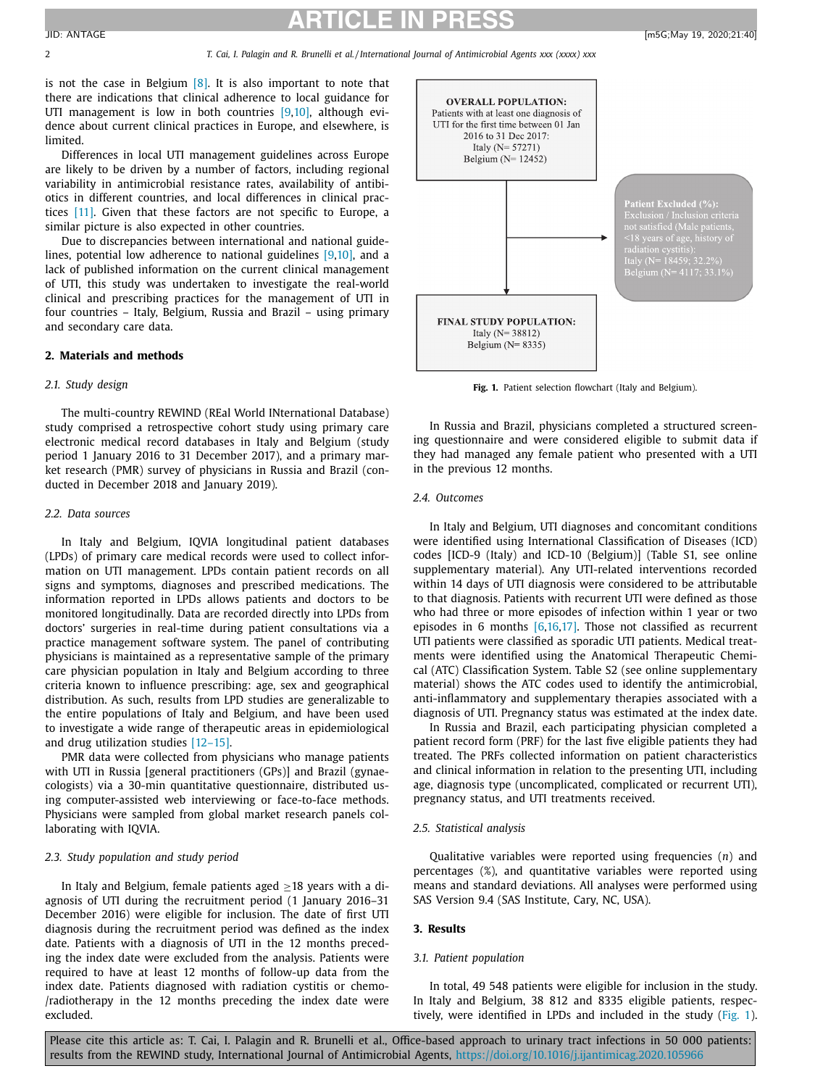is not the case in Belgium  $[8]$ . It is also important to note that there are indications that clinical adherence to local guidance for UTI management is low in both countries [\[9,10\],](#page-5-0) although evidence about current clinical practices in Europe, and elsewhere, is limited.

Differences in local UTI management guidelines across Europe are likely to be driven by a number of factors, including regional variability in antimicrobial resistance rates, availability of antibiotics in different countries, and local differences in clinical practices [\[11\].](#page-5-0) Given that these factors are not specific to Europe, a similar picture is also expected in other countries.

Due to discrepancies between international and national guidelines, potential low adherence to national guidelines [\[9,10\],](#page-5-0) and a lack of published information on the current clinical management of UTI, this study was undertaken to investigate the real-world clinical and prescribing practices for the management of UTI in four countries – Italy, Belgium, Russia and Brazil – using primary and secondary care data.

#### **2. Materials and methods**

## *2.1. Study design*

The multi-country REWIND (REal World INternational Database) study comprised a retrospective cohort study using primary care electronic medical record databases in Italy and Belgium (study period 1 January 2016 to 31 December 2017), and a primary market research (PMR) survey of physicians in Russia and Brazil (conducted in December 2018 and January 2019).

## *2.2. Data sources*

In Italy and Belgium, IQVIA longitudinal patient databases (LPDs) of primary care medical records were used to collect information on UTI management. LPDs contain patient records on all signs and symptoms, diagnoses and prescribed medications. The information reported in LPDs allows patients and doctors to be monitored longitudinally. Data are recorded directly into LPDs from doctors' surgeries in real-time during patient consultations via a practice management software system. The panel of contributing physicians is maintained as a representative sample of the primary care physician population in Italy and Belgium according to three criteria known to influence prescribing: age, sex and geographical distribution. As such, results from LPD studies are generalizable to the entire populations of Italy and Belgium, and have been used to investigate a wide range of therapeutic areas in epidemiological and drug utilization studies [\[12–15\].](#page-5-0)

PMR data were collected from physicians who manage patients with UTI in Russia [general practitioners (GPs)] and Brazil (gynaecologists) via a 30-min quantitative questionnaire, distributed using computer-assisted web interviewing or face-to-face methods. Physicians were sampled from global market research panels collaborating with IQVIA.

# *2.3. Study population and study period*

In Italy and Belgium, female patients aged  $\geq$  18 years with a diagnosis of UTI during the recruitment period (1 January 2016–31 December 2016) were eligible for inclusion. The date of first UTI diagnosis during the recruitment period was defined as the index date. Patients with a diagnosis of UTI in the 12 months preceding the index date were excluded from the analysis. Patients were required to have at least 12 months of follow-up data from the index date. Patients diagnosed with radiation cystitis or chemo- /radiotherapy in the 12 months preceding the index date were excluded.



**Fig. 1.** Patient selection flowchart (Italy and Belgium).

In Russia and Brazil, physicians completed a structured screening questionnaire and were considered eligible to submit data if they had managed any female patient who presented with a UTI in the previous 12 months.

#### *2.4. Outcomes*

In Italy and Belgium, UTI diagnoses and concomitant conditions were identified using International Classification of Diseases (ICD) codes [ICD-9 (Italy) and ICD-10 (Belgium)] (Table S1, see online supplementary material). Any UTI-related interventions recorded within 14 days of UTI diagnosis were considered to be attributable to that diagnosis. Patients with recurrent UTI were defined as those who had three or more episodes of infection within 1 year or two episodes in 6 months [\[6,16,17\].](#page-5-0) Those not classified as recurrent UTI patients were classified as sporadic UTI patients. Medical treatments were identified using the Anatomical Therapeutic Chemical (ATC) Classification System. Table S2 (see online supplementary material) shows the ATC codes used to identify the antimicrobial, anti-inflammatory and supplementary therapies associated with a diagnosis of UTI. Pregnancy status was estimated at the index date.

In Russia and Brazil, each participating physician completed a patient record form (PRF) for the last five eligible patients they had treated. The PRFs collected information on patient characteristics and clinical information in relation to the presenting UTI, including age, diagnosis type (uncomplicated, complicated or recurrent UTI), pregnancy status, and UTI treatments received.

#### *2.5. Statistical analysis*

Qualitative variables were reported using frequencies (*n*) and percentages (%), and quantitative variables were reported using means and standard deviations. All analyses were performed using SAS Version 9.4 (SAS Institute, Cary, NC, USA).

#### **3. Results**

#### *3.1. Patient population*

In total, 49 548 patients were eligible for inclusion in the study. In Italy and Belgium, 38 812 and 8335 eligible patients, respectively, were identified in LPDs and included in the study (Fig. 1).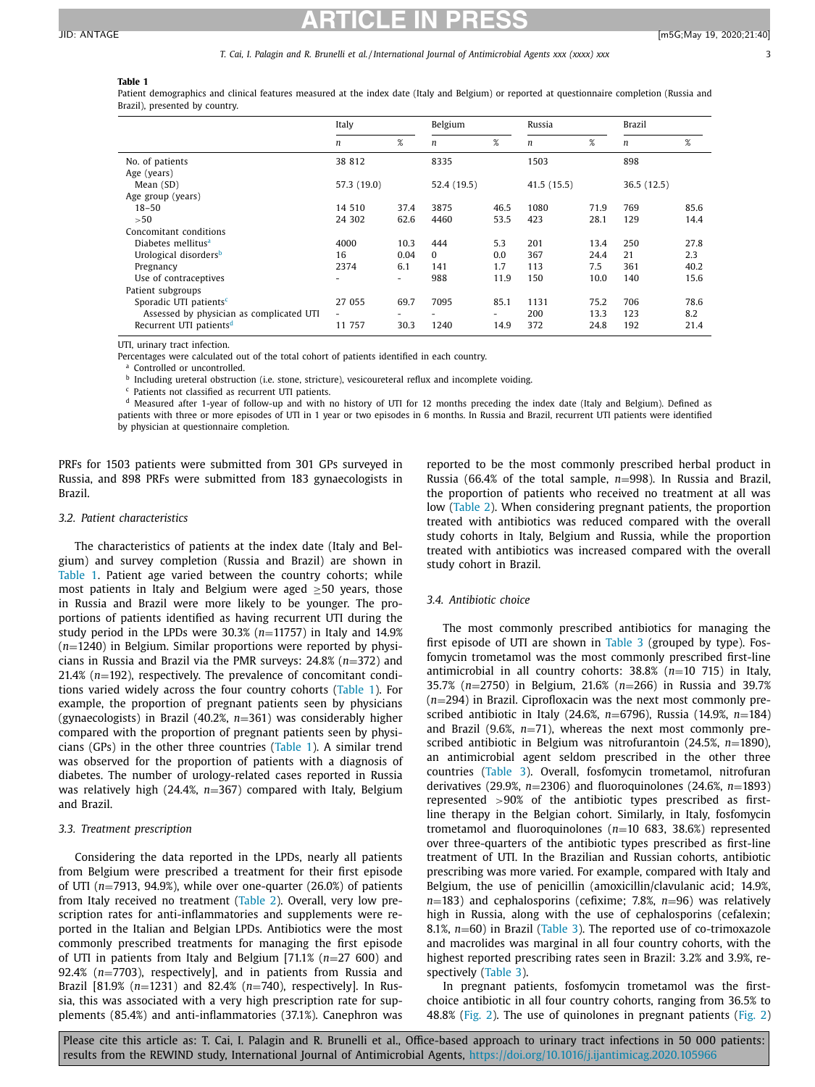#### T. Cai, I. Palagin and R. Brunelli et al./International Journal of Antimicrobial Agents xxx (xxxx) xxx

# **Table 1**

Patient demographics and clinical features measured at the index date (Italy and Belgium) or reported at questionnaire completion (Russia and Brazil), presented by country.

|                                          | Italy       |                          | Belgium     |      | Russia           |      | <b>Brazil</b>    |      |
|------------------------------------------|-------------|--------------------------|-------------|------|------------------|------|------------------|------|
|                                          | n           | %                        | n           | %    | $\boldsymbol{n}$ | $\%$ | $\boldsymbol{n}$ | %    |
| No. of patients<br>Age (years)           | 38 812      |                          | 8335        |      | 1503             |      | 898              |      |
| Mean (SD)                                | 57.3 (19.0) |                          | 52.4 (19.5) |      | 41.5(15.5)       |      | 36.5(12.5)       |      |
| Age group (years)                        |             |                          |             |      |                  |      |                  |      |
| $18 - 50$                                | 14 510      | 37.4                     | 3875        | 46.5 | 1080             | 71.9 | 769              | 85.6 |
| >50                                      | 24 302      | 62.6                     | 4460        | 53.5 | 423              | 28.1 | 129              | 14.4 |
| Concomitant conditions                   |             |                          |             |      |                  |      |                  |      |
| Diabetes mellitus <sup>a</sup>           | 4000        | 10.3                     | 444         | 5.3  | 201              | 13.4 | 250              | 27.8 |
| Urological disorders <sup>b</sup>        | 16          | 0.04                     | $\Omega$    | 0.0  | 367              | 24.4 | 21               | 2.3  |
| Pregnancy                                | 2374        | 6.1                      | 141         | 1.7  | 113              | 7.5  | 361              | 40.2 |
| Use of contraceptives                    |             | $\overline{\phantom{a}}$ | 988         | 11.9 | 150              | 10.0 | 140              | 15.6 |
| Patient subgroups                        |             |                          |             |      |                  |      |                  |      |
| Sporadic UTI patients <sup>c</sup>       | 27 055      | 69.7                     | 7095        | 85.1 | 1131             | 75.2 | 706              | 78.6 |
| Assessed by physician as complicated UTI | $\sim$      |                          |             | -    | 200              | 13.3 | 123              | 8.2  |
| Recurrent UTI patients <sup>d</sup>      | 11 757      | 30.3                     | 1240        | 14.9 | 372              | 24.8 | 192              | 21.4 |

UTI, urinary tract infection.

Percentages were calculated out of the total cohort of patients identified in each country.

Controlled or uncontrolled.

**b** Including ureteral obstruction (i.e. stone, stricture), vesicoureteral reflux and incomplete voiding.

<sup>c</sup> Patients not classified as recurrent UTI patients.

<sup>d</sup> Measured after 1-year of follow-up and with no history of UTI for 12 months preceding the index date (Italy and Belgium). Defined as patients with three or more episodes of UTI in 1 year or two episodes in 6 months. In Russia and Brazil, recurrent UTI patients were identified by physician at questionnaire completion.

PRFs for 1503 patients were submitted from 301 GPs surveyed in Russia, and 898 PRFs were submitted from 183 gynaecologists in Brazil.

## *3.2. Patient characteristics*

The characteristics of patients at the index date (Italy and Belgium) and survey completion (Russia and Brazil) are shown in Table 1. Patient age varied between the country cohorts; while most patients in Italy and Belgium were aged ≥50 years, those in Russia and Brazil were more likely to be younger. The proportions of patients identified as having recurrent UTI during the study period in the LPDs were 30.3% (*n*=11757) in Italy and 14.9% (*n*=1240) in Belgium. Similar proportions were reported by physicians in Russia and Brazil via the PMR surveys: 24.8% (*n*=372) and 21.4% (*n*=192), respectively. The prevalence of concomitant conditions varied widely across the four country cohorts (Table 1). For example, the proportion of pregnant patients seen by physicians (gynaecologists) in Brazil (40.2%, *n*=361) was considerably higher compared with the proportion of pregnant patients seen by physicians (GPs) in the other three countries (Table 1). A similar trend was observed for the proportion of patients with a diagnosis of diabetes. The number of urology-related cases reported in Russia was relatively high (24.4%, *n*=367) compared with Italy, Belgium and Brazil.

#### *3.3. Treatment prescription*

Considering the data reported in the LPDs, nearly all patients from Belgium were prescribed a treatment for their first episode of UTI (*n*=7913, 94.9%), while over one-quarter (26.0%) of patients from Italy received no treatment [\(Table](#page-3-0) 2). Overall, very low prescription rates for anti-inflammatories and supplements were reported in the Italian and Belgian LPDs. Antibiotics were the most commonly prescribed treatments for managing the first episode of UTI in patients from Italy and Belgium [71.1% (*n*=27 600) and 92.4% (*n*=7703), respectively], and in patients from Russia and Brazil [81.9% (*n*=1231) and 82.4% (*n*=740), respectively]. In Russia, this was associated with a very high prescription rate for supplements (85.4%) and anti-inflammatories (37.1%). Canephron was

reported to be the most commonly prescribed herbal product in Russia (66.4% of the total sample, *n*=998). In Russia and Brazil, the proportion of patients who received no treatment at all was low [\(Table](#page-3-0) 2). When considering pregnant patients, the proportion treated with antibiotics was reduced compared with the overall study cohorts in Italy, Belgium and Russia, while the proportion treated with antibiotics was increased compared with the overall study cohort in Brazil.

# *3.4. Antibiotic choice*

The most commonly prescribed antibiotics for managing the first episode of UTI are shown in [Table](#page-3-0) 3 (grouped by type). Fosfomycin trometamol was the most commonly prescribed first-line antimicrobial in all country cohorts: 38.8% (*n*=10 715) in Italy, 35.7% (*n*=2750) in Belgium, 21.6% (*n*=266) in Russia and 39.7% (*n*=294) in Brazil. Ciprofloxacin was the next most commonly prescribed antibiotic in Italy (24.6%, *n*=6796), Russia (14.9%, *n*=184) and Brazil (9.6%, *n*=71), whereas the next most commonly prescribed antibiotic in Belgium was nitrofurantoin (24.5%, *n*=1890), an antimicrobial agent seldom prescribed in the other three countries [\(Table](#page-3-0) 3). Overall, fosfomycin trometamol, nitrofuran derivatives (29.9%, *n*=2306) and fluoroquinolones (24.6%, *n*=1893) represented >90% of the antibiotic types prescribed as firstline therapy in the Belgian cohort. Similarly, in Italy, fosfomycin trometamol and fluoroquinolones (*n*=10 683, 38.6%) represented over three-quarters of the antibiotic types prescribed as first-line treatment of UTI. In the Brazilian and Russian cohorts, antibiotic prescribing was more varied. For example, compared with Italy and Belgium, the use of penicillin (amoxicillin/clavulanic acid; 14.9%, *n*=183) and cephalosporins (cefixime; 7.8%, *n*=96) was relatively high in Russia, along with the use of cephalosporins (cefalexin; 8.1%, *n*=60) in Brazil [\(Table](#page-3-0) 3). The reported use of co-trimoxazole and macrolides was marginal in all four country cohorts, with the highest reported prescribing rates seen in Brazil: 3.2% and 3.9%, respectively [\(Table](#page-3-0) 3).

In pregnant patients, fosfomycin trometamol was the firstchoice antibiotic in all four country cohorts, ranging from 36.5% to 48.8% [\(Fig.](#page-4-0) 2). The use of quinolones in pregnant patients [\(Fig.](#page-4-0) 2)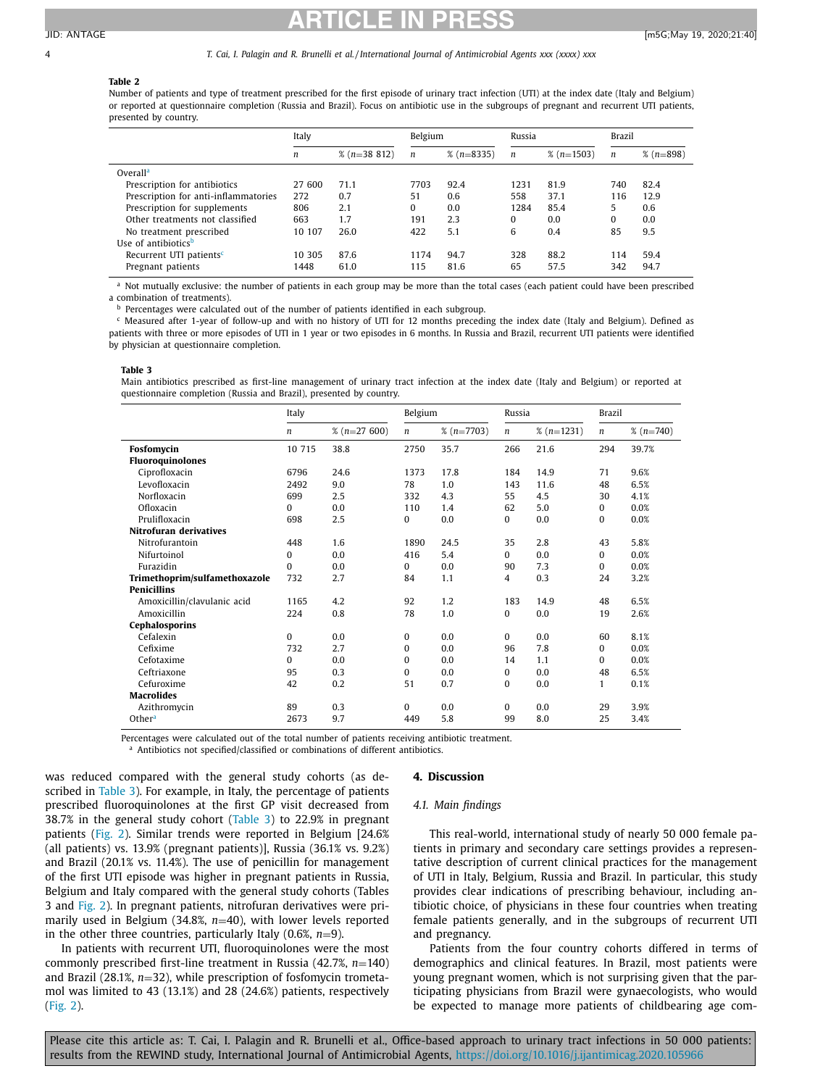#### <span id="page-3-0"></span>4 T. Cai, I. Palagin and R. Brunelli et al. / International Journal of Antimicrobial Agents xxx (xxxx) xxx

# **Table 2**

Number of patients and type of treatment prescribed for the first episode of urinary tract infection (UTI) at the index date (Italy and Belgium) or reported at questionnaire completion (Russia and Brazil). Focus on antibiotic use in the subgroups of pregnant and recurrent UTI patients, presented by country.

|                                      | Italy  |                | Belgium  |              | Russia           |              | <b>Brazil</b> |             |
|--------------------------------------|--------|----------------|----------|--------------|------------------|--------------|---------------|-------------|
|                                      | n      | $% (n=38 812)$ | n        | $% (n=8335)$ | $\boldsymbol{n}$ | $% (n=1503)$ | n             | $% (n=898)$ |
| Overall <sup>a</sup>                 |        |                |          |              |                  |              |               |             |
| Prescription for antibiotics         | 27 600 | 71.1           | 7703     | 92.4         | 1231             | 81.9         | 740           | 82.4        |
| Prescription for anti-inflammatories | 272    | 0.7            | $-51$    | 0.6          | 558              | 37.1         | 116           | 12.9        |
| Prescription for supplements         | 806    | 2.1            | $\Omega$ | 0.0          | 1284             | 85.4         | 5             | 0.6         |
| Other treatments not classified      | 663    | 1.7            | 191      | 2.3          | $\Omega$         | 0.0          | $\Omega$      | 0.0         |
| No treatment prescribed              | 10 107 | 26.0           | 422      | 5.1          | 6                | 0.4          | 85            | 9.5         |
| Use of antibiotics <sup>b</sup>      |        |                |          |              |                  |              |               |             |
| Recurrent UTI patients <sup>c</sup>  | 10 305 | 87.6           | 1174     | 94.7         | 328              | 88.2         | 114           | 59.4        |
| Pregnant patients                    | 1448   | 61.0           | 115      | 81.6         | 65               | 57.5         | 342           | 94.7        |

<sup>a</sup> Not mutually exclusive: the number of patients in each group may be more than the total cases (each patient could have been prescribed a combination of treatments).

**b** Percentages were calculated out of the number of patients identified in each subgroup.

<sup>c</sup> Measured after 1-year of follow-up and with no history of UTI for 12 months preceding the index date (Italy and Belgium). Defined as patients with three or more episodes of UTI in 1 year or two episodes in 6 months. In Russia and Brazil, recurrent UTI patients were identified by physician at questionnaire completion.

#### **Table 3**

Main antibiotics prescribed as first-line management of urinary tract infection at the index date (Italy and Belgium) or reported at questionnaire completion (Russia and Brazil), presented by country.

|                               | Italy            |               | Belgium  |              | Russia           |              | <b>Brazil</b>    |             |
|-------------------------------|------------------|---------------|----------|--------------|------------------|--------------|------------------|-------------|
|                               | $\boldsymbol{n}$ | $% (n=27600)$ | n        | $% (n=7703)$ | $\boldsymbol{n}$ | $% (n=1231)$ | $\boldsymbol{n}$ | $% (n=740)$ |
| <b>Fosfomycin</b>             | 10 715           | 38.8          | 2750     | 35.7         | 266              | 21.6         | 294              | 39.7%       |
| <b>Fluoroquinolones</b>       |                  |               |          |              |                  |              |                  |             |
| Ciprofloxacin                 | 6796             | 24.6          | 1373     | 17.8         | 184              | 14.9         | 71               | 9.6%        |
| Levofloxacin                  | 2492             | 9.0           | 78       | 1.0          | 143              | 11.6         | 48               | 6.5%        |
| Norfloxacin                   | 699              | 2.5           | 332      | 4.3          | 55               | 4.5          | 30               | 4.1%        |
| Ofloxacin                     | $\mathbf{0}$     | 0.0           | 110      | 1.4          | 62               | 5.0          | 0                | 0.0%        |
| Prulifloxacin                 | 698              | 2.5           | 0        | 0.0          | $\Omega$         | 0.0          | 0                | 0.0%        |
| <b>Nitrofuran derivatives</b> |                  |               |          |              |                  |              |                  |             |
| Nitrofurantoin                | 448              | 1.6           | 1890     | 24.5         | 35               | 2.8          | 43               | 5.8%        |
| Nifurtoinol                   | $\Omega$         | 0.0           | 416      | 5.4          | $\Omega$         | 0.0          | $\Omega$         | 0.0%        |
| Furazidin                     | $\Omega$         | 0.0           | $\Omega$ | 0.0          | 90               | 7.3          | $\Omega$         | 0.0%        |
| Trimethoprim/sulfamethoxazole | 732              | 2.7           | 84       | 1.1          | 4                | 0.3          | 24               | 3.2%        |
| <b>Penicillins</b>            |                  |               |          |              |                  |              |                  |             |
| Amoxicillin/clavulanic acid   | 1165             | 4.2           | 92       | 1.2          | 183              | 14.9         | 48               | 6.5%        |
| Amoxicillin                   | 224              | 0.8           | 78       | 1.0          | 0                | 0.0          | 19               | 2.6%        |
| Cephalosporins                |                  |               |          |              |                  |              |                  |             |
| Cefalexin                     | $\mathbf{0}$     | 0.0           | 0        | 0.0          | $\Omega$         | 0.0          | 60               | 8.1%        |
| Cefixime                      | 732              | 2.7           | 0        | 0.0          | 96               | 7.8          | $\Omega$         | 0.0%        |
| Cefotaxime                    | 0                | 0.0           | 0        | 0.0          | 14               | 1.1          | $\Omega$         | 0.0%        |
| Ceftriaxone                   | 95               | 0.3           | $\Omega$ | 0.0          | $\Omega$         | 0.0          | 48               | 6.5%        |
| Cefuroxime                    | 42               | 0.2           | 51       | 0.7          | $\Omega$         | 0.0          | $\mathbf{1}$     | 0.1%        |
| <b>Macrolides</b>             |                  |               |          |              |                  |              |                  |             |
| Azithromycin                  | 89               | 0.3           | 0        | 0.0          | $\Omega$         | 0.0          | 29               | 3.9%        |
| Other <sup>a</sup>            | 2673             | 9.7           | 449      | 5.8          | 99               | 8.0          | 25               | 3.4%        |

Percentages were calculated out of the total number of patients receiving antibiotic treatment.

a Antibiotics not specified/classified or combinations of different antibiotics.

was reduced compared with the general study cohorts (as described in Table 3). For example, in Italy, the percentage of patients prescribed fluoroquinolones at the first GP visit decreased from 38.7% in the general study cohort (Table 3) to 22.9% in pregnant patients [\(Fig.](#page-4-0) 2). Similar trends were reported in Belgium [24.6% (all patients) vs. 13.9% (pregnant patients)], Russia (36.1% vs. 9.2%) and Brazil (20.1% vs. 11.4%). The use of penicillin for management of the first UTI episode was higher in pregnant patients in Russia, Belgium and Italy compared with the general study cohorts (Tables 3 and [Fig.](#page-4-0) 2). In pregnant patients, nitrofuran derivatives were primarily used in Belgium (34.8%, *n*=40), with lower levels reported in the other three countries, particularly Italy (0.6%, *n*=9).

In patients with recurrent UTI, fluoroquinolones were the most commonly prescribed first-line treatment in Russia (42.7%, *n*=140) and Brazil (28.1%, *n*=32), while prescription of fosfomycin trometamol was limited to 43 (13.1%) and 28 (24.6%) patients, respectively [\(Fig.](#page-4-0) 2).

#### **4. Discussion**

#### *4.1. Main findings*

This real-world, international study of nearly 50 000 female patients in primary and secondary care settings provides a representative description of current clinical practices for the management of UTI in Italy, Belgium, Russia and Brazil. In particular, this study provides clear indications of prescribing behaviour, including antibiotic choice, of physicians in these four countries when treating female patients generally, and in the subgroups of recurrent UTI and pregnancy.

Patients from the four country cohorts differed in terms of demographics and clinical features. In Brazil, most patients were young pregnant women, which is not surprising given that the participating physicians from Brazil were gynaecologists, who would be expected to manage more patients of childbearing age com-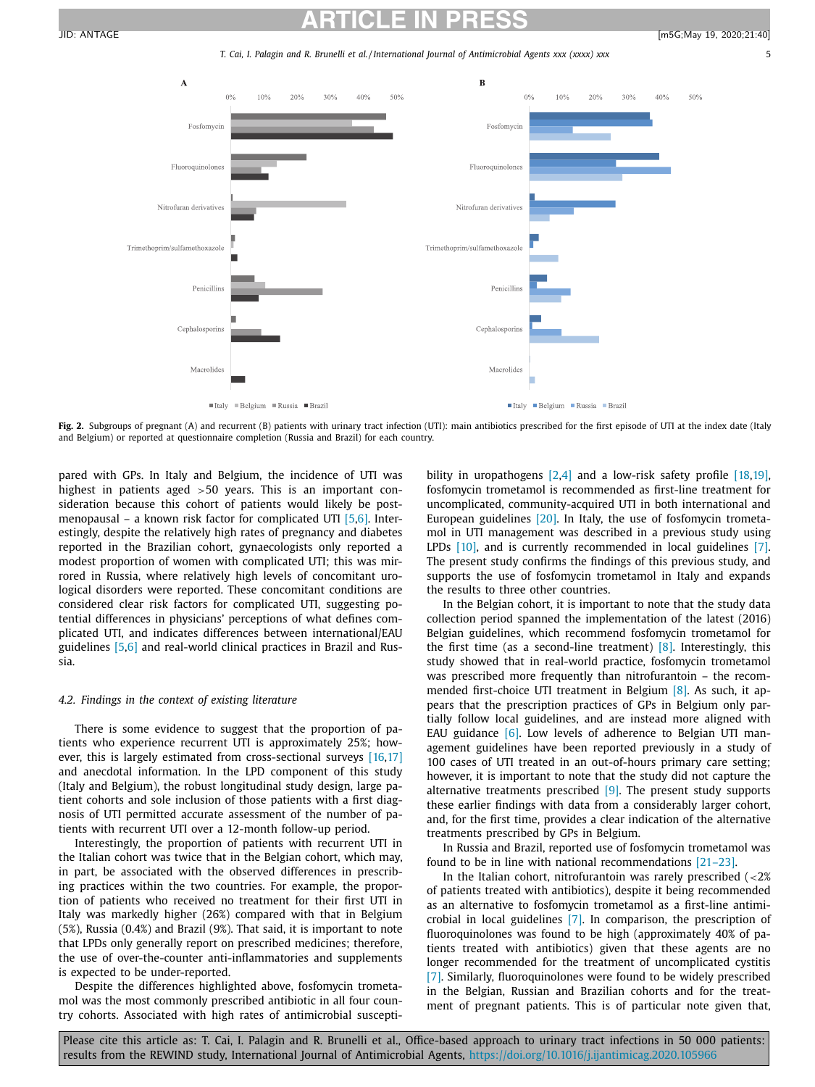T. Cai, I. Palagin and R. Brunelli et al./International Journal of Antimicrobial Agents xxx (xxxx) xxx

<span id="page-4-0"></span>

Fig. 2. Subgroups of pregnant (A) and recurrent (B) patients with urinary tract infection (UTI): main antibiotics prescribed for the first episode of UTI at the index date (Italy and Belgium) or reported at questionnaire completion (Russia and Brazil) for each country.

pared with GPs. In Italy and Belgium, the incidence of UTI was highest in patients aged >50 years. This is an important consideration because this cohort of patients would likely be postmenopausal – a known risk factor for complicated UTI [\[5,6\].](#page-5-0) Interestingly, despite the relatively high rates of pregnancy and diabetes reported in the Brazilian cohort, gynaecologists only reported a modest proportion of women with complicated UTI; this was mirrored in Russia, where relatively high levels of concomitant urological disorders were reported. These concomitant conditions are considered clear risk factors for complicated UTI, suggesting potential differences in physicians' perceptions of what defines complicated UTI, and indicates differences between international/EAU guidelines [\[5,6\]](#page-5-0) and real-world clinical practices in Brazil and Russia.

# *4.2. Findings in the context of existing literature*

There is some evidence to suggest that the proportion of patients who experience recurrent UTI is approximately 25%; how-ever, this is largely estimated from cross-sectional surveys [\[16,17\]](#page-5-0) and anecdotal information. In the LPD component of this study (Italy and Belgium), the robust longitudinal study design, large patient cohorts and sole inclusion of those patients with a first diagnosis of UTI permitted accurate assessment of the number of patients with recurrent UTI over a 12-month follow-up period.

Interestingly, the proportion of patients with recurrent UTI in the Italian cohort was twice that in the Belgian cohort, which may, in part, be associated with the observed differences in prescribing practices within the two countries. For example, the proportion of patients who received no treatment for their first UTI in Italy was markedly higher (26%) compared with that in Belgium (5%), Russia (0.4%) and Brazil (9%). That said, it is important to note that LPDs only generally report on prescribed medicines; therefore, the use of over-the-counter anti-inflammatories and supplements is expected to be under-reported.

Despite the differences highlighted above, fosfomycin trometamol was the most commonly prescribed antibiotic in all four country cohorts. Associated with high rates of antimicrobial susceptibility in uropathogens [\[2,4\]](#page-5-0) and a low-risk safety profile [\[18,19\],](#page-5-0) fosfomycin trometamol is recommended as first-line treatment for uncomplicated, community-acquired UTI in both international and European guidelines [\[20\].](#page-5-0) In Italy, the use of fosfomycin trometamol in UTI management was described in a previous study using LPDs [\[10\],](#page-5-0) and is currently recommended in local guidelines [\[7\].](#page-5-0) The present study confirms the findings of this previous study, and supports the use of fosfomycin trometamol in Italy and expands the results to three other countries.

In the Belgian cohort, it is important to note that the study data collection period spanned the implementation of the latest (2016) Belgian guidelines, which recommend fosfomycin trometamol for the first time (as a second-line treatment)  $[8]$ . Interestingly, this study showed that in real-world practice, fosfomycin trometamol was prescribed more frequently than nitrofurantoin – the recommended first-choice UTI treatment in Belgium [\[8\].](#page-5-0) As such, it appears that the prescription practices of GPs in Belgium only partially follow local guidelines, and are instead more aligned with EAU guidance  $[6]$ . Low levels of adherence to Belgian UTI management guidelines have been reported previously in a study of 100 cases of UTI treated in an out-of-hours primary care setting; however, it is important to note that the study did not capture the alternative treatments prescribed  $[9]$ . The present study supports these earlier findings with data from a considerably larger cohort, and, for the first time, provides a clear indication of the alternative treatments prescribed by GPs in Belgium.

In Russia and Brazil, reported use of fosfomycin trometamol was found to be in line with national recommendations [\[21–23\].](#page-5-0)

In the Italian cohort, nitrofurantoin was rarely prescribed  $\langle$  <2% of patients treated with antibiotics), despite it being recommended as an alternative to fosfomycin trometamol as a first-line antimicrobial in local guidelines [\[7\].](#page-5-0) In comparison, the prescription of fluoroquinolones was found to be high (approximately 40% of patients treated with antibiotics) given that these agents are no longer recommended for the treatment of uncomplicated cystitis [\[7\].](#page-5-0) Similarly, fluoroquinolones were found to be widely prescribed in the Belgian, Russian and Brazilian cohorts and for the treatment of pregnant patients. This is of particular note given that,